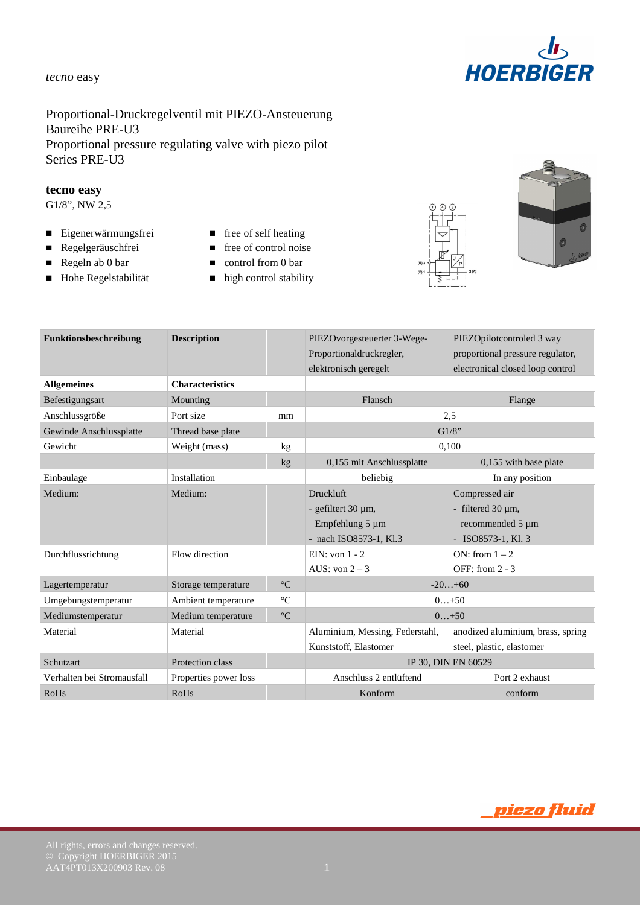

# Proportional-Druckregelventil mit PIEZO-Ansteuerung Baureihe PRE-U3 Proportional pressure regulating valve with piezo pilot Series PRE-U3

#### **tecno easy**

G1/8", NW 2,5

- Eigenerwärmungsfrei free of self heating
- 
- 
- 
- 
- Regelgeräuschfrei free of control noise
- Regeln ab 0 bar **control from 0 bar**
- Hohe Regelstabilität high control stability





| Funktionsbeschreibung      | <b>Description</b>     |                 | PIEZOvorgesteuerter 3-Wege-<br>Proportionaldruckregler, | PIEZOpilotcontroled 3 way<br>proportional pressure regulator, |  |
|----------------------------|------------------------|-----------------|---------------------------------------------------------|---------------------------------------------------------------|--|
| <b>Allgemeines</b>         | <b>Characteristics</b> |                 | elektronisch geregelt                                   | electronical closed loop control                              |  |
| Befestigungsart            | Mounting               |                 | Flansch                                                 | Flange                                                        |  |
| Anschlussgröße             | Port size              | mm              | 2.5                                                     |                                                               |  |
| Gewinde Anschlussplatte    | Thread base plate      |                 | G1/8"                                                   |                                                               |  |
| Gewicht                    | Weight (mass)          | kg              | 0,100                                                   |                                                               |  |
|                            |                        | kg              | 0,155 mit Anschlussplatte                               | 0,155 with base plate                                         |  |
| Einbaulage                 | Installation           |                 | beliebig                                                | In any position                                               |  |
| Medium:                    | Medium:                |                 | <b>Druckluft</b>                                        | Compressed air                                                |  |
|                            |                        |                 | - gefiltert 30 µm,                                      | - filtered 30 µm,                                             |  |
|                            |                        |                 | Empfehlung 5 µm                                         | recommended 5 µm                                              |  |
|                            |                        |                 | - nach ISO8573-1, Kl.3                                  | $-$ ISO8573-1, Kl. 3                                          |  |
| Durchflussrichtung         | Flow direction         |                 | EIN: von $1 - 2$                                        | ON: from $1 - 2$                                              |  |
|                            |                        |                 | AUS: von $2 - 3$                                        | OFF: from 2 - 3                                               |  |
| Lagertemperatur            | Storage temperature    | $\rm ^{\circ}C$ | $-20+60$                                                |                                                               |  |
| Umgebungstemperatur        | Ambient temperature    | $\rm ^{\circ}C$ | $0+50$                                                  |                                                               |  |
| Mediumstemperatur          | Medium temperature     | $\rm ^{\circ}C$ | $0+50$                                                  |                                                               |  |
| Material                   | Material               |                 | Aluminium, Messing, Federstahl,                         | anodized aluminium, brass, spring                             |  |
|                            |                        |                 | Kunststoff, Elastomer                                   | steel, plastic, elastomer                                     |  |
| Schutzart                  | Protection class       |                 | IP 30, DIN EN 60529                                     |                                                               |  |
| Verhalten bei Stromausfall | Properties power loss  |                 | Anschluss 2 entlüftend                                  | Port 2 exhaust                                                |  |
| <b>RoHs</b>                | <b>RoHs</b>            |                 | Konform                                                 | conform                                                       |  |

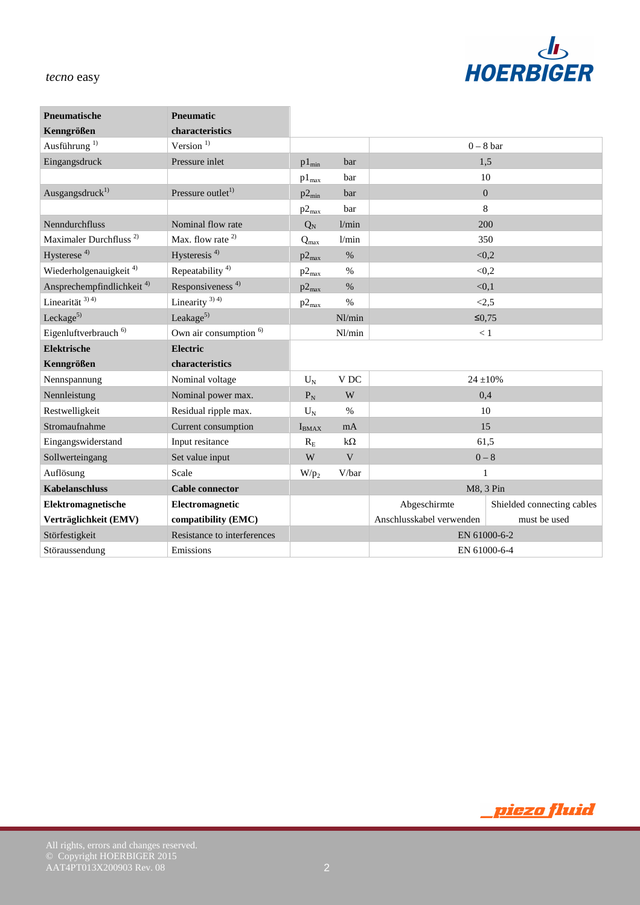

| Pneumatische                          | <b>Pneumatic</b>                  |                         |                 |                          |                            |
|---------------------------------------|-----------------------------------|-------------------------|-----------------|--------------------------|----------------------------|
| Kenngrößen                            | characteristics                   |                         |                 |                          |                            |
| Ausführung <sup>1)</sup>              | Version $1)$                      |                         |                 |                          | $0 - 8$ bar                |
| Eingangsdruck                         | Pressure inlet                    | $p1_{\min}$             | bar             |                          | 1,5                        |
|                                       |                                   | $p1_{max}$              | bar             |                          | 10                         |
| Ausgangsdruck <sup>1)</sup>           | Pressure outlet <sup>1)</sup>     | $p2_{min}$              | bar             |                          | $\boldsymbol{0}$           |
|                                       |                                   | $p2_{max}$              | bar             |                          | 8                          |
| Nenndurchfluss                        | Nominal flow rate                 | $Q_N$                   | 1/min           |                          | 200                        |
| Maximaler Durchfluss <sup>2)</sup>    | Max. flow rate <sup>2)</sup>      | $Q_{max}$               | 1/min           |                          | 350                        |
| Hysterese <sup>4)</sup>               | Hysteresis <sup>4)</sup>          | $p2_{max}$              | $\%$            |                          | < 0, 2                     |
| Wiederholgenauigkeit <sup>4)</sup>    | Repeatability <sup>4)</sup>       | $p2_{max}$              | $\frac{0}{0}$   |                          | < 0, 2                     |
| Ansprechempfindlichkeit <sup>4)</sup> | Responsiveness <sup>4)</sup>      | $p2_{max}$              | $\%$            |                          | < 0, 1                     |
| Linearität $3)$ <sup>4)</sup>         | Linearity $3)$ 4)                 | $p2_{max}$              | $\frac{0}{0}$   |                          | < 2, 5                     |
| Leckage $5$                           | Leakage $5$                       |                         | Nl/min          |                          | $\leq 0.75$                |
| Eigenluftverbrauch <sup>6)</sup>      | Own air consumption <sup>6)</sup> |                         | Nl/min          |                          | $<1\,$                     |
| <b>Elektrische</b>                    | <b>Electric</b>                   |                         |                 |                          |                            |
| Kenngrößen                            | characteristics                   |                         |                 |                          |                            |
| Nennspannung                          | Nominal voltage                   | $U_N$                   | V <sub>DC</sub> |                          | $24 \pm 10\%$              |
| Nennleistung                          | Nominal power max.                | $P_N$                   | W               |                          | 0,4                        |
| Restwelligkeit                        | Residual ripple max.              | $U_N$                   | $\%$            |                          | 10                         |
| Stromaufnahme                         | Current consumption               | $I_{BMAX}$              | mA              | 15                       |                            |
| Eingangswiderstand                    | Input resitance                   | $R_{E}$                 | $k\Omega$       | 61,5                     |                            |
| Sollwerteingang                       | Set value input                   | $\ensuremath{\text{W}}$ | $\mathbf V$     | $0 - 8$                  |                            |
| Auflösung                             | Scale                             | $W/p_2$                 | V/bar           | $\mathbf{1}$             |                            |
| <b>Kabelanschluss</b>                 | <b>Cable connector</b>            |                         |                 |                          | M8, 3 Pin                  |
| Elektromagnetische                    | Electromagnetic                   |                         |                 | Abgeschirmte             | Shielded connecting cables |
| Verträglichkeit (EMV)                 | compatibility (EMC)               |                         |                 | Anschlusskabel verwenden | must be used               |
| Störfestigkeit                        | Resistance to interferences       |                         |                 | EN 61000-6-2             |                            |
| Störaussendung                        | Emissions                         |                         |                 |                          | EN 61000-6-4               |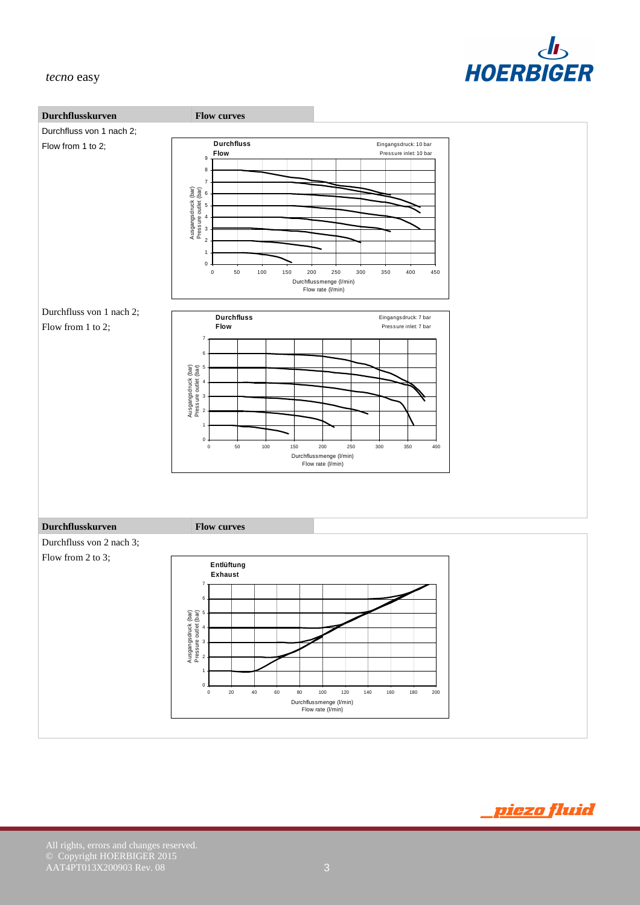



© Copyright HOERBIGER 2015  $AAT4PT013X200903$  Rev. 08  $3$ 

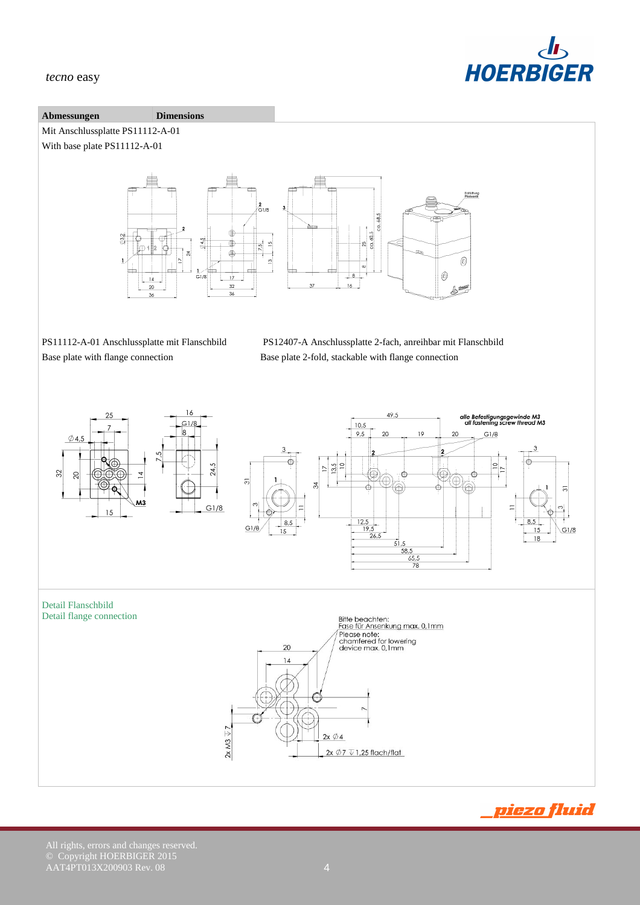

#### **Abmessungen Dimensions**

Mit Anschlussplatte PS11112-A-01

With base plate PS11112-A-01



PS11112-A-01 Anschlussplatte mit Flanschbild PS12407-A Anschlussplatte 2-fach, anreihbar mit Flanschbild Base plate with flange connection Base plate 2-fold, stackable with flange connection



<u>piezo fluid</u>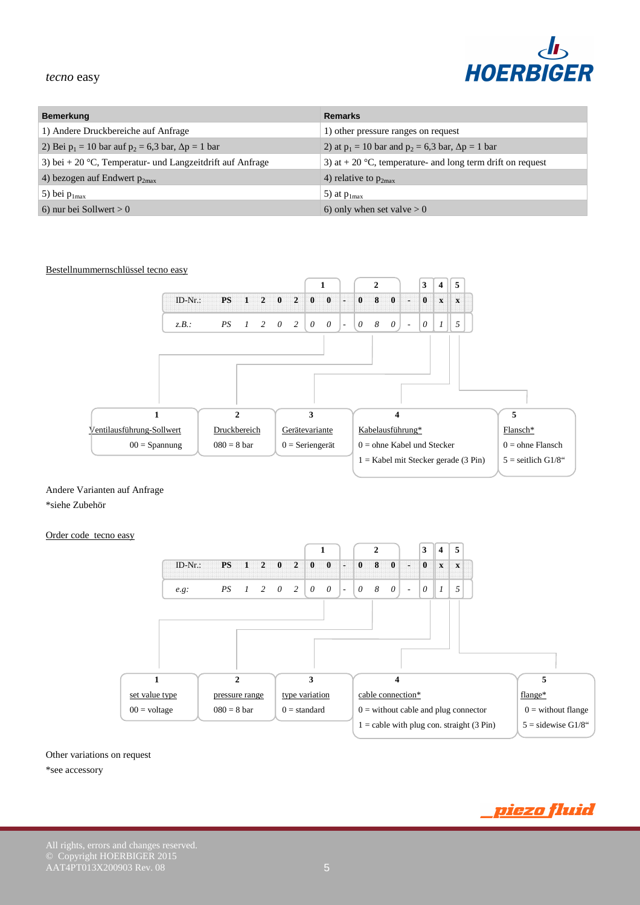

<u>piezo fluid</u>

#### *tecno* easy

| <b>Bemerkung</b>                                              | <b>Remarks</b>                                               |  |
|---------------------------------------------------------------|--------------------------------------------------------------|--|
| 1) Andere Druckbereiche auf Anfrage                           | 1) other pressure ranges on request                          |  |
| 2) Bei $p_1 = 10$ bar auf $p_2 = 6.3$ bar, $\Delta p = 1$ bar | 2) at $p_1 = 10$ bar and $p_2 = 6.3$ bar, $\Delta p = 1$ bar |  |
| 3) bei + 20 °C, Temperatur- und Langzeitdrift auf Anfrage     | 3) at $+$ 20 °C, temperature- and long term drift on request |  |
| 4) bezogen auf Endwert $p_{2max}$                             | 4) relative to $p_{2max}$                                    |  |
| 5) bei $p_{1max}$                                             | 5) at $p_{1max}$                                             |  |
| 6) nur bei Sollwert $> 0$                                     | 6) only when set valve $> 0$                                 |  |



Andere Varianten auf Anfrage

\*siehe Zubehör

#### Order code tecno easy



# Other variations on request

#### \*see accessory

© Copyright HOERBIGER 2015

 $AAT4PT013X200903$  Rev. 08  $5$